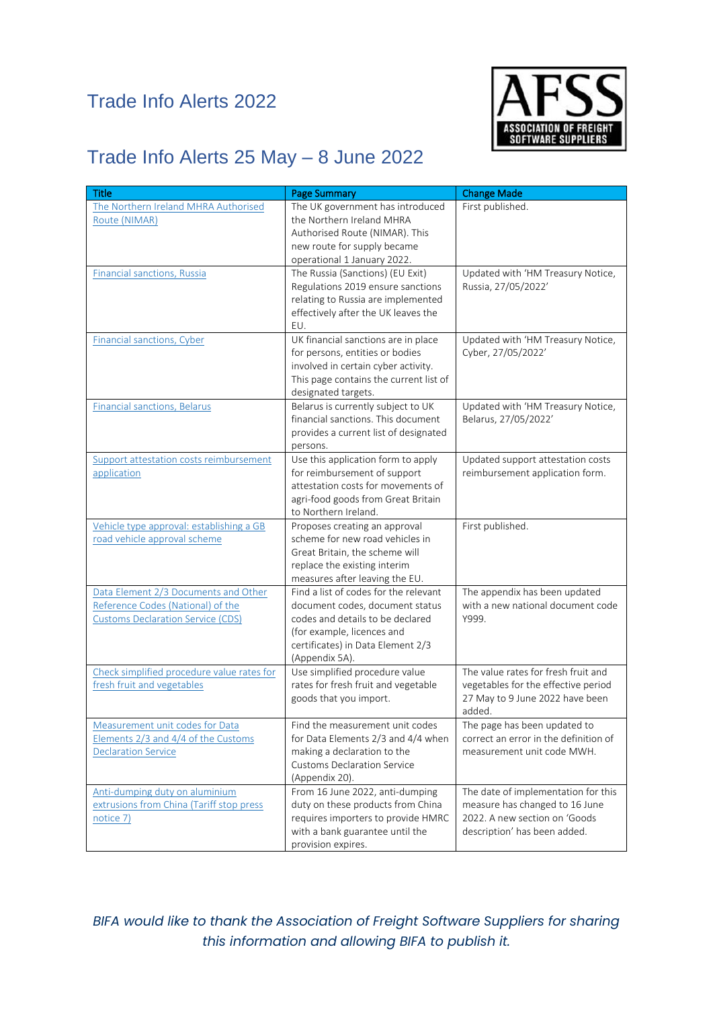

# Trade Info Alerts 25 May – 8 June 2022

| <b>Title</b>                                                                                                          | <b>Page Summary</b>                                                                                                                                                                               | <b>Change Made</b>                                                                                                                     |
|-----------------------------------------------------------------------------------------------------------------------|---------------------------------------------------------------------------------------------------------------------------------------------------------------------------------------------------|----------------------------------------------------------------------------------------------------------------------------------------|
| The Northern Ireland MHRA Authorised<br>Route (NIMAR)                                                                 | The UK government has introduced<br>the Northern Ireland MHRA<br>Authorised Route (NIMAR). This<br>new route for supply became                                                                    | First published.                                                                                                                       |
| Financial sanctions, Russia                                                                                           | operational 1 January 2022.<br>The Russia (Sanctions) (EU Exit)<br>Regulations 2019 ensure sanctions<br>relating to Russia are implemented<br>effectively after the UK leaves the                 | Updated with 'HM Treasury Notice,<br>Russia, 27/05/2022'                                                                               |
| <b>Financial sanctions, Cyber</b>                                                                                     | EU.<br>UK financial sanctions are in place<br>for persons, entities or bodies<br>involved in certain cyber activity.<br>This page contains the current list of                                    | Updated with 'HM Treasury Notice,<br>Cyber, 27/05/2022'                                                                                |
| <b>Financial sanctions, Belarus</b>                                                                                   | designated targets.<br>Belarus is currently subject to UK<br>financial sanctions. This document<br>provides a current list of designated<br>persons.                                              | Updated with 'HM Treasury Notice,<br>Belarus, 27/05/2022'                                                                              |
| Support attestation costs reimbursement<br>application                                                                | Use this application form to apply<br>for reimbursement of support<br>attestation costs for movements of<br>agri-food goods from Great Britain<br>to Northern Ireland.                            | Updated support attestation costs<br>reimbursement application form.                                                                   |
| Vehicle type approval: establishing a GB<br>road vehicle approval scheme                                              | Proposes creating an approval<br>scheme for new road vehicles in<br>Great Britain, the scheme will<br>replace the existing interim<br>measures after leaving the EU.                              | First published.                                                                                                                       |
| Data Element 2/3 Documents and Other<br>Reference Codes (National) of the<br><b>Customs Declaration Service (CDS)</b> | Find a list of codes for the relevant<br>document codes, document status<br>codes and details to be declared<br>(for example, licences and<br>certificates) in Data Element 2/3<br>(Appendix 5A). | The appendix has been updated<br>with a new national document code<br>Y999.                                                            |
| Check simplified procedure value rates for<br>fresh fruit and vegetables                                              | Use simplified procedure value<br>rates for fresh fruit and vegetable<br>goods that you import.                                                                                                   | The value rates for fresh fruit and<br>vegetables for the effective period<br>27 May to 9 June 2022 have been<br>added.                |
| Measurement unit codes for Data<br>Elements 2/3 and 4/4 of the Customs<br><b>Declaration Service</b>                  | Find the measurement unit codes<br>for Data Elements 2/3 and 4/4 when<br>making a declaration to the<br><b>Customs Declaration Service</b><br>(Appendix 20).                                      | The page has been updated to<br>correct an error in the definition of<br>measurement unit code MWH.                                    |
| Anti-dumping duty on aluminium<br>extrusions from China (Tariff stop press<br>notice 7)                               | From 16 June 2022, anti-dumping<br>duty on these products from China<br>requires importers to provide HMRC<br>with a bank guarantee until the<br>provision expires.                               | The date of implementation for this<br>measure has changed to 16 June<br>2022. A new section on 'Goods<br>description' has been added. |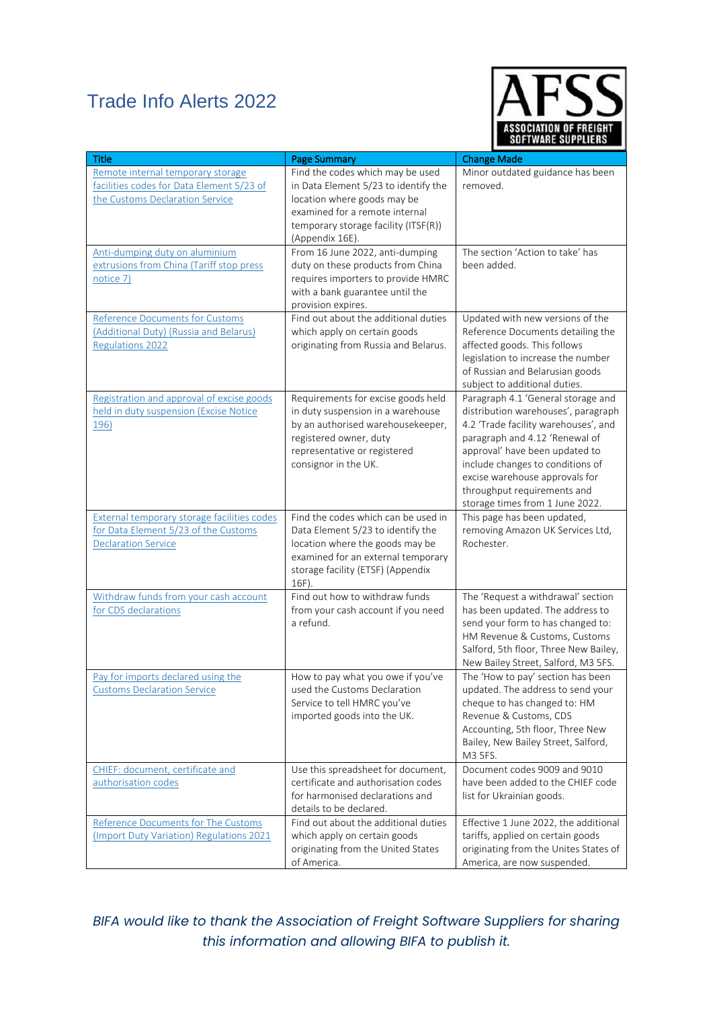

| <b>Title</b>                                                                                                                                        | <b>Page Summary</b>                                                                                                                                                                                                                     | <b>Change Made</b>                                                                                                                                                                                                                                                                                                            |
|-----------------------------------------------------------------------------------------------------------------------------------------------------|-----------------------------------------------------------------------------------------------------------------------------------------------------------------------------------------------------------------------------------------|-------------------------------------------------------------------------------------------------------------------------------------------------------------------------------------------------------------------------------------------------------------------------------------------------------------------------------|
| Remote internal temporary storage<br>facilities codes for Data Element 5/23 of<br>the Customs Declaration Service<br>Anti-dumping duty on aluminium | Find the codes which may be used<br>in Data Element 5/23 to identify the<br>location where goods may be<br>examined for a remote internal<br>temporary storage facility (ITSF(R))<br>(Appendix 16E).<br>From 16 June 2022, anti-dumping | Minor outdated guidance has been<br>removed.<br>The section 'Action to take' has                                                                                                                                                                                                                                              |
| extrusions from China (Tariff stop press<br>notice 7)                                                                                               | duty on these products from China<br>requires importers to provide HMRC<br>with a bank guarantee until the<br>provision expires.                                                                                                        | been added.                                                                                                                                                                                                                                                                                                                   |
| <b>Reference Documents for Customs</b><br>(Additional Duty) (Russia and Belarus)<br><b>Regulations 2022</b>                                         | Find out about the additional duties<br>which apply on certain goods<br>originating from Russia and Belarus.                                                                                                                            | Updated with new versions of the<br>Reference Documents detailing the<br>affected goods. This follows<br>legislation to increase the number<br>of Russian and Belarusian goods<br>subject to additional duties.                                                                                                               |
| Registration and approval of excise goods<br>held in duty suspension (Excise Notice<br>196)                                                         | Requirements for excise goods held<br>in duty suspension in a warehouse<br>by an authorised warehousekeeper,<br>registered owner, duty<br>representative or registered<br>consignor in the UK.                                          | Paragraph 4.1 'General storage and<br>distribution warehouses', paragraph<br>4.2 'Trade facility warehouses', and<br>paragraph and 4.12 'Renewal of<br>approval' have been updated to<br>include changes to conditions of<br>excise warehouse approvals for<br>throughput requirements and<br>storage times from 1 June 2022. |
| <b>External temporary storage facilities codes</b><br>for Data Element 5/23 of the Customs<br><b>Declaration Service</b>                            | Find the codes which can be used in<br>Data Element 5/23 to identify the<br>location where the goods may be<br>examined for an external temporary<br>storage facility (ETSF) (Appendix<br>16F).                                         | This page has been updated,<br>removing Amazon UK Services Ltd,<br>Rochester.                                                                                                                                                                                                                                                 |
| Withdraw funds from your cash account<br>for CDS declarations                                                                                       | Find out how to withdraw funds<br>from your cash account if you need<br>a refund.                                                                                                                                                       | The 'Request a withdrawal' section<br>has been updated. The address to<br>send your form to has changed to:<br>HM Revenue & Customs, Customs<br>Salford, 5th floor, Three New Bailey,<br>New Bailey Street, Salford, M3 5FS.                                                                                                  |
| Pay for imports declared using the<br><b>Customs Declaration Service</b>                                                                            | How to pay what you owe if you've<br>used the Customs Declaration<br>Service to tell HMRC you've<br>imported goods into the UK.                                                                                                         | The 'How to pay' section has been<br>updated. The address to send your<br>cheque to has changed to: HM<br>Revenue & Customs, CDS<br>Accounting, 5th floor, Three New<br>Bailey, New Bailey Street, Salford,<br>M3 5FS.                                                                                                        |
| CHIEF: document, certificate and<br>authorisation codes                                                                                             | Use this spreadsheet for document,<br>certificate and authorisation codes<br>for harmonised declarations and<br>details to be declared.                                                                                                 | Document codes 9009 and 9010<br>have been added to the CHIEF code<br>list for Ukrainian goods.                                                                                                                                                                                                                                |
| Reference Documents for The Customs<br>(Import Duty Variation) Regulations 2021                                                                     | Find out about the additional duties<br>which apply on certain goods<br>originating from the United States<br>of America.                                                                                                               | Effective 1 June 2022, the additional<br>tariffs, applied on certain goods<br>originating from the Unites States of<br>America, are now suspended.                                                                                                                                                                            |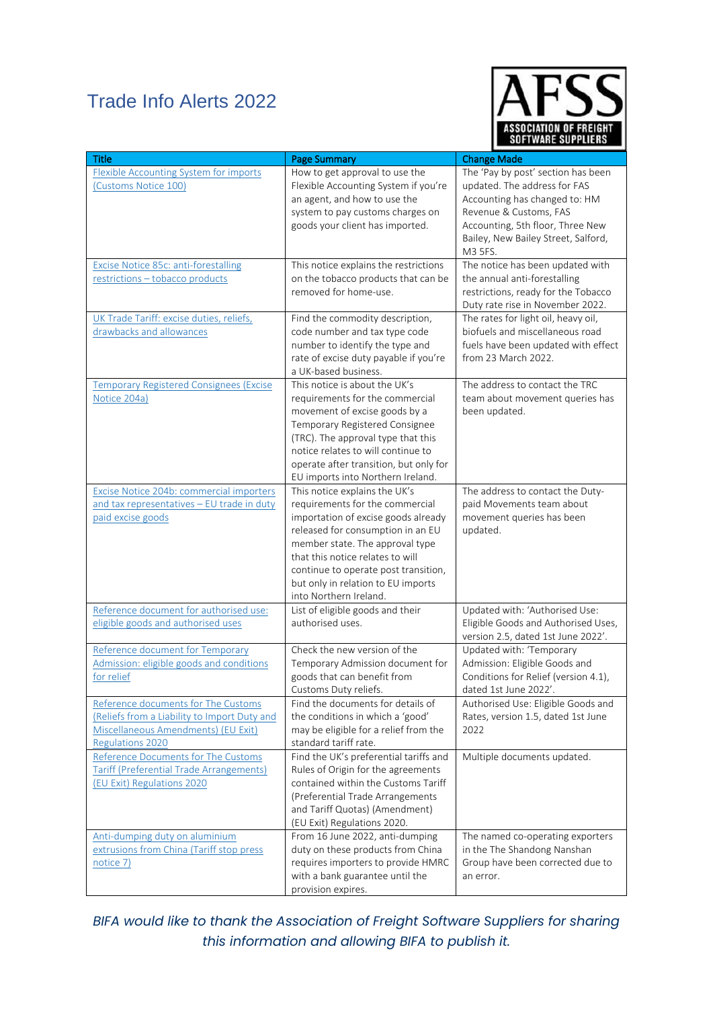

| <b>Title</b>                                                                                                                                          | <b>Page Summary</b>                                                                                                                                                                                                                                                                                                         | <b>Change Made</b>                                                                                                                                                                                                  |
|-------------------------------------------------------------------------------------------------------------------------------------------------------|-----------------------------------------------------------------------------------------------------------------------------------------------------------------------------------------------------------------------------------------------------------------------------------------------------------------------------|---------------------------------------------------------------------------------------------------------------------------------------------------------------------------------------------------------------------|
| <b>Flexible Accounting System for imports</b><br>(Customs Notice 100)                                                                                 | How to get approval to use the<br>Flexible Accounting System if you're<br>an agent, and how to use the<br>system to pay customs charges on<br>goods your client has imported.                                                                                                                                               | The 'Pay by post' section has been<br>updated. The address for FAS<br>Accounting has changed to: HM<br>Revenue & Customs, FAS<br>Accounting, 5th floor, Three New<br>Bailey, New Bailey Street, Salford,<br>M3 5FS. |
| <b>Excise Notice 85c: anti-forestalling</b><br>restrictions - tobacco products                                                                        | This notice explains the restrictions<br>on the tobacco products that can be<br>removed for home-use.                                                                                                                                                                                                                       | The notice has been updated with<br>the annual anti-forestalling<br>restrictions, ready for the Tobacco<br>Duty rate rise in November 2022.                                                                         |
| UK Trade Tariff: excise duties, reliefs,<br>drawbacks and allowances                                                                                  | Find the commodity description,<br>code number and tax type code<br>number to identify the type and<br>rate of excise duty payable if you're<br>a UK-based business.                                                                                                                                                        | The rates for light oil, heavy oil,<br>biofuels and miscellaneous road<br>fuels have been updated with effect<br>from 23 March 2022.                                                                                |
| <b>Temporary Registered Consignees (Excise</b><br>Notice 204a)                                                                                        | This notice is about the UK's<br>requirements for the commercial<br>movement of excise goods by a<br>Temporary Registered Consignee<br>(TRC). The approval type that this<br>notice relates to will continue to<br>operate after transition, but only for<br>EU imports into Northern Ireland.                              | The address to contact the TRC<br>team about movement queries has<br>been updated.                                                                                                                                  |
| Excise Notice 204b: commercial importers<br>and tax representatives - EU trade in duty<br>paid excise goods                                           | This notice explains the UK's<br>requirements for the commercial<br>importation of excise goods already<br>released for consumption in an EU<br>member state. The approval type<br>that this notice relates to will<br>continue to operate post transition,<br>but only in relation to EU imports<br>into Northern Ireland. | The address to contact the Duty-<br>paid Movements team about<br>movement queries has been<br>updated.                                                                                                              |
| Reference document for authorised use:<br>eligible goods and authorised uses                                                                          | List of eligible goods and their<br>authorised uses.                                                                                                                                                                                                                                                                        | Updated with: 'Authorised Use:<br>Eligible Goods and Authorised Uses,<br>version 2.5, dated 1st June 2022'.                                                                                                         |
| Reference document for Temporary<br>Admission: eligible goods and conditions<br>for relief                                                            | Check the new version of the<br>Temporary Admission document for<br>goods that can benefit from<br>Customs Duty reliefs.                                                                                                                                                                                                    | Updated with: 'Temporary<br>Admission: Eligible Goods and<br>Conditions for Relief (version 4.1),<br>dated 1st June 2022'.                                                                                          |
| Reference documents for The Customs<br>(Reliefs from a Liability to Import Duty and<br>Miscellaneous Amendments) (EU Exit)<br><b>Regulations 2020</b> | Find the documents for details of<br>the conditions in which a 'good'<br>may be eligible for a relief from the<br>standard tariff rate.                                                                                                                                                                                     | Authorised Use: Eligible Goods and<br>Rates, version 1.5, dated 1st June<br>2022                                                                                                                                    |
| Reference Documents for The Customs<br>Tariff (Preferential Trade Arrangements)<br>(EU Exit) Regulations 2020                                         | Find the UK's preferential tariffs and<br>Rules of Origin for the agreements<br>contained within the Customs Tariff<br>(Preferential Trade Arrangements<br>and Tariff Quotas) (Amendment)<br>(EU Exit) Regulations 2020.                                                                                                    | Multiple documents updated.                                                                                                                                                                                         |
| Anti-dumping duty on aluminium<br>extrusions from China (Tariff stop press<br>notice 7)                                                               | From 16 June 2022, anti-dumping<br>duty on these products from China<br>requires importers to provide HMRC<br>with a bank guarantee until the<br>provision expires.                                                                                                                                                         | The named co-operating exporters<br>in the The Shandong Nanshan<br>Group have been corrected due to<br>an error.                                                                                                    |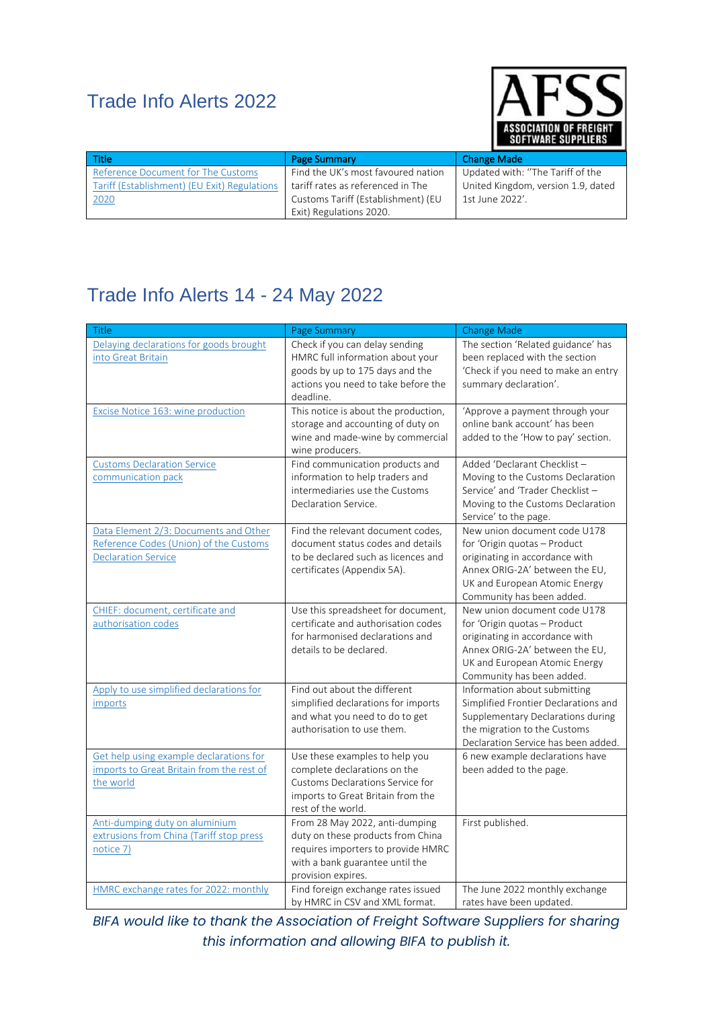

| Title                                        | <b>Page Summary</b>                | <b>Change Made</b>                 |
|----------------------------------------------|------------------------------------|------------------------------------|
| Reference Document for The Customs           | Find the UK's most favoured nation | Updated with: "The Tariff of the   |
| Tariff (Establishment) (EU Exit) Regulations | tariff rates as referenced in The  | United Kingdom, version 1.9, dated |
| <u> 2020</u>                                 | Customs Tariff (Establishment) (EU | 1st June 2022'.                    |
|                                              | Exit) Regulations 2020.            |                                    |

### Trade Info Alerts 14 - 24 May 2022

| <b>Title</b>                                                                                                  | Page Summary                                                                                                                                                       | Change Made                                                                                                                                                                                    |
|---------------------------------------------------------------------------------------------------------------|--------------------------------------------------------------------------------------------------------------------------------------------------------------------|------------------------------------------------------------------------------------------------------------------------------------------------------------------------------------------------|
| Delaying declarations for goods brought<br>into Great Britain                                                 | Check if you can delay sending<br>HMRC full information about your<br>goods by up to 175 days and the<br>actions you need to take before the<br>deadline.          | The section 'Related guidance' has<br>been replaced with the section<br>'Check if you need to make an entry<br>summary declaration'.                                                           |
| Excise Notice 163: wine production                                                                            | This notice is about the production,<br>storage and accounting of duty on<br>wine and made-wine by commercial<br>wine producers.                                   | 'Approve a payment through your<br>online bank account' has been<br>added to the 'How to pay' section.                                                                                         |
| <b>Customs Declaration Service</b><br>communication pack                                                      | Find communication products and<br>information to help traders and<br>intermediaries use the Customs<br>Declaration Service.                                       | Added 'Declarant Checklist -<br>Moving to the Customs Declaration<br>Service' and 'Trader Checklist -<br>Moving to the Customs Declaration<br>Service' to the page.                            |
| Data Element 2/3: Documents and Other<br>Reference Codes (Union) of the Customs<br><b>Declaration Service</b> | Find the relevant document codes,<br>document status codes and details<br>to be declared such as licences and<br>certificates (Appendix 5A).                       | New union document code U178<br>for 'Origin quotas - Product<br>originating in accordance with<br>Annex ORIG-2A' between the EU,<br>UK and European Atomic Energy<br>Community has been added. |
| CHIEF: document, certificate and<br>authorisation codes                                                       | Use this spreadsheet for document,<br>certificate and authorisation codes<br>for harmonised declarations and<br>details to be declared.                            | New union document code U178<br>for 'Origin quotas - Product<br>originating in accordance with<br>Annex ORIG-2A' between the EU,<br>UK and European Atomic Energy<br>Community has been added. |
| Apply to use simplified declarations for<br>imports                                                           | Find out about the different<br>simplified declarations for imports<br>and what you need to do to get<br>authorisation to use them.                                | Information about submitting<br>Simplified Frontier Declarations and<br>Supplementary Declarations during<br>the migration to the Customs<br>Declaration Service has been added.               |
| Get help using example declarations for<br>imports to Great Britain from the rest of<br>the world             | Use these examples to help you<br>complete declarations on the<br>Customs Declarations Service for<br>imports to Great Britain from the<br>rest of the world.      | 6 new example declarations have<br>been added to the page.                                                                                                                                     |
| Anti-dumping duty on aluminium<br>extrusions from China (Tariff stop press<br>notice 7)                       | From 28 May 2022, anti-dumping<br>duty on these products from China<br>requires importers to provide HMRC<br>with a bank guarantee until the<br>provision expires. | First published.                                                                                                                                                                               |
| HMRC exchange rates for 2022: monthly                                                                         | Find foreign exchange rates issued<br>by HMRC in CSV and XML format.                                                                                               | The June 2022 monthly exchange<br>rates have been updated.                                                                                                                                     |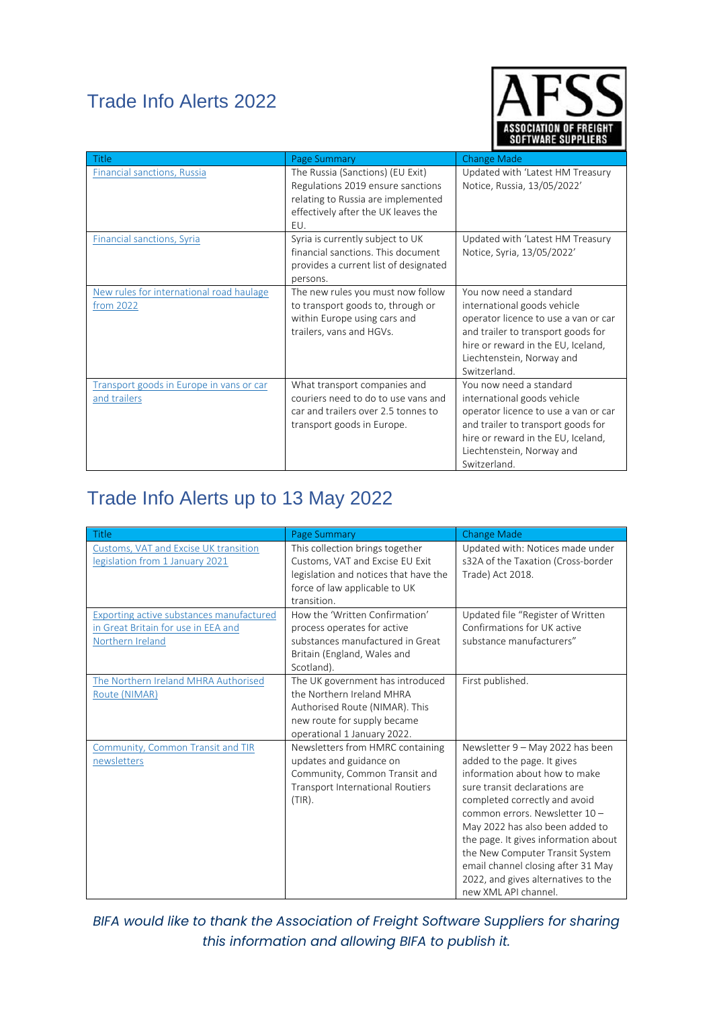

| Title                                    | Page Summary                                                          | <b>Change Made</b>                                              |
|------------------------------------------|-----------------------------------------------------------------------|-----------------------------------------------------------------|
| Financial sanctions, Russia              | The Russia (Sanctions) (EU Exit)<br>Regulations 2019 ensure sanctions | Updated with 'Latest HM Treasury<br>Notice, Russia, 13/05/2022' |
|                                          | relating to Russia are implemented                                    |                                                                 |
|                                          | effectively after the UK leaves the                                   |                                                                 |
|                                          | EU.                                                                   |                                                                 |
| Financial sanctions, Syria               | Syria is currently subject to UK                                      | Updated with 'Latest HM Treasury                                |
|                                          | financial sanctions. This document                                    | Notice, Syria, 13/05/2022'                                      |
|                                          | provides a current list of designated                                 |                                                                 |
|                                          | persons.                                                              |                                                                 |
| New rules for international road haulage | The new rules you must now follow                                     | You now need a standard                                         |
| from 2022                                | to transport goods to, through or                                     | international goods vehicle                                     |
|                                          | within Europe using cars and                                          | operator licence to use a van or car                            |
|                                          | trailers, vans and HGVs.                                              | and trailer to transport goods for                              |
|                                          |                                                                       | hire or reward in the EU, Iceland,                              |
|                                          |                                                                       | Liechtenstein, Norway and                                       |
|                                          |                                                                       | Switzerland.                                                    |
| Transport goods in Europe in vans or car | What transport companies and                                          | You now need a standard                                         |
| and trailers                             | couriers need to do to use vans and                                   | international goods vehicle                                     |
|                                          | car and trailers over 2.5 tonnes to                                   | operator licence to use a van or car                            |
|                                          | transport goods in Europe.                                            | and trailer to transport goods for                              |
|                                          |                                                                       | hire or reward in the EU, Iceland,                              |
|                                          |                                                                       | Liechtenstein, Norway and                                       |
|                                          |                                                                       | Switzerland.                                                    |

### Trade Info Alerts up to 13 May 2022

| <b>Title</b>                                                                                               | Page Summary                                                                                                                                                  | <b>Change Made</b>                                                                                                                                                                                                                                                                                                                                                                                                     |
|------------------------------------------------------------------------------------------------------------|---------------------------------------------------------------------------------------------------------------------------------------------------------------|------------------------------------------------------------------------------------------------------------------------------------------------------------------------------------------------------------------------------------------------------------------------------------------------------------------------------------------------------------------------------------------------------------------------|
| Customs, VAT and Excise UK transition<br>legislation from 1 January 2021                                   | This collection brings together<br>Customs, VAT and Excise EU Exit<br>legislation and notices that have the<br>force of law applicable to UK<br>transition.   | Updated with: Notices made under<br>s32A of the Taxation (Cross-border<br>Trade) Act 2018.                                                                                                                                                                                                                                                                                                                             |
| <b>Exporting active substances manufactured</b><br>in Great Britain for use in EEA and<br>Northern Ireland | How the 'Written Confirmation'<br>process operates for active<br>substances manufactured in Great<br>Britain (England, Wales and<br>Scotland).                | Updated file "Register of Written<br>Confirmations for UK active<br>substance manufacturers"                                                                                                                                                                                                                                                                                                                           |
| The Northern Ireland MHRA Authorised<br>Route (NIMAR)                                                      | The UK government has introduced<br>the Northern Ireland MHRA<br>Authorised Route (NIMAR). This<br>new route for supply became<br>operational 1 January 2022. | First published.                                                                                                                                                                                                                                                                                                                                                                                                       |
| Community, Common Transit and TIR<br>newsletters                                                           | Newsletters from HMRC containing<br>updates and guidance on<br>Community, Common Transit and<br><b>Transport International Routiers</b><br>$(TIR)$ .          | Newsletter 9 - May 2022 has been<br>added to the page. It gives<br>information about how to make<br>sure transit declarations are<br>completed correctly and avoid<br>common errors. Newsletter 10-<br>May 2022 has also been added to<br>the page. It gives information about<br>the New Computer Transit System<br>email channel closing after 31 May<br>2022, and gives alternatives to the<br>new XML API channel. |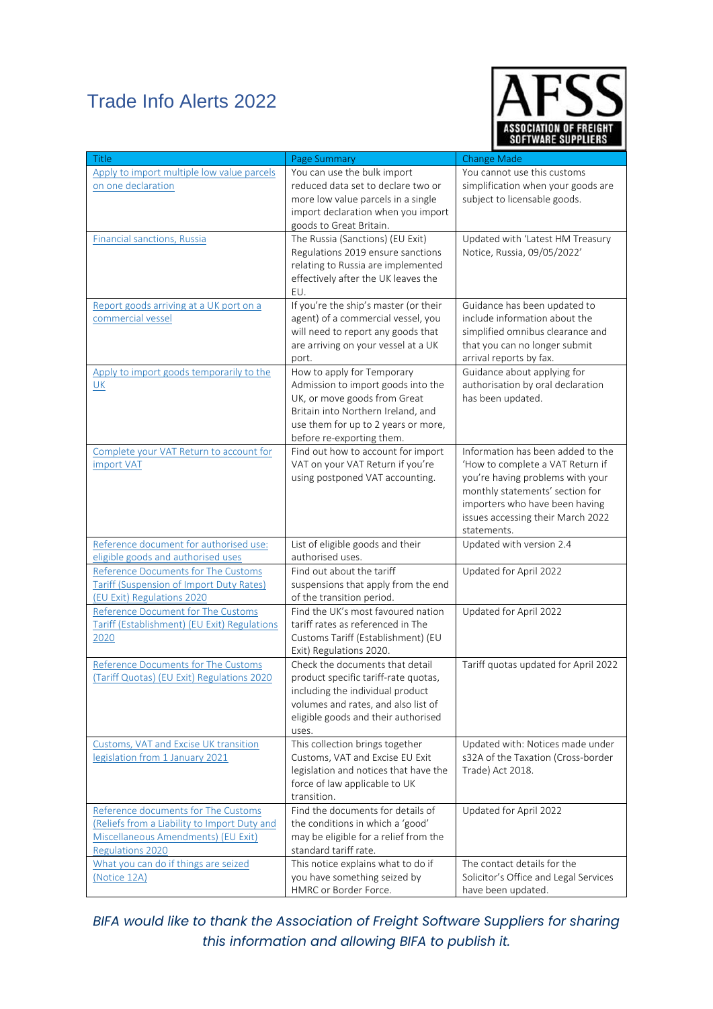

| Title                                                                                                                                                 | Page Summary                                                                                                                                                                                               | <b>Change Made</b>                                                                                                                                                                                                                 |
|-------------------------------------------------------------------------------------------------------------------------------------------------------|------------------------------------------------------------------------------------------------------------------------------------------------------------------------------------------------------------|------------------------------------------------------------------------------------------------------------------------------------------------------------------------------------------------------------------------------------|
| Apply to import multiple low value parcels<br>on one declaration                                                                                      | You can use the bulk import<br>reduced data set to declare two or<br>more low value parcels in a single<br>import declaration when you import<br>goods to Great Britain.                                   | You cannot use this customs<br>simplification when your goods are<br>subject to licensable goods.                                                                                                                                  |
| <b>Financial sanctions, Russia</b>                                                                                                                    | The Russia (Sanctions) (EU Exit)<br>Regulations 2019 ensure sanctions<br>relating to Russia are implemented<br>effectively after the UK leaves the<br>EU.                                                  | Updated with 'Latest HM Treasury<br>Notice, Russia, 09/05/2022'                                                                                                                                                                    |
| Report goods arriving at a UK port on a<br>commercial vessel                                                                                          | If you're the ship's master (or their<br>agent) of a commercial vessel, you<br>will need to report any goods that<br>are arriving on your vessel at a UK<br>port.                                          | Guidance has been updated to<br>include information about the<br>simplified omnibus clearance and<br>that you can no longer submit<br>arrival reports by fax.                                                                      |
| Apply to import goods temporarily to the<br>UK                                                                                                        | How to apply for Temporary<br>Admission to import goods into the<br>UK, or move goods from Great<br>Britain into Northern Ireland, and<br>use them for up to 2 years or more,<br>before re-exporting them. | Guidance about applying for<br>authorisation by oral declaration<br>has been updated.                                                                                                                                              |
| Complete your VAT Return to account for<br>import VAT                                                                                                 | Find out how to account for import<br>VAT on your VAT Return if you're<br>using postponed VAT accounting.                                                                                                  | Information has been added to the<br>'How to complete a VAT Return if<br>you're having problems with your<br>monthly statements' section for<br>importers who have been having<br>issues accessing their March 2022<br>statements. |
| Reference document for authorised use:<br>eligible goods and authorised uses                                                                          | List of eligible goods and their<br>authorised uses.                                                                                                                                                       | Updated with version 2.4                                                                                                                                                                                                           |
| Reference Documents for The Customs<br><b>Tariff (Suspension of Import Duty Rates)</b><br>(EU Exit) Regulations 2020                                  | Find out about the tariff<br>suspensions that apply from the end<br>of the transition period.                                                                                                              | Updated for April 2022                                                                                                                                                                                                             |
| Reference Document for The Customs<br>Tariff (Establishment) (EU Exit) Regulations<br>2020                                                            | Find the UK's most favoured nation<br>tariff rates as referenced in The<br>Customs Tariff (Establishment) (EU<br>Exit) Regulations 2020.                                                                   | Updated for April 2022                                                                                                                                                                                                             |
| Reference Documents for The Customs<br>(Tariff Quotas) (EU Exit) Regulations 2020                                                                     | Check the documents that detail<br>product specific tariff-rate quotas,<br>including the individual product<br>volumes and rates, and also list of<br>eligible goods and their authorised<br>uses.         | Tariff quotas updated for April 2022                                                                                                                                                                                               |
| <b>Customs, VAT and Excise UK transition</b><br>legislation from 1 January 2021                                                                       | This collection brings together<br>Customs, VAT and Excise EU Exit<br>legislation and notices that have the<br>force of law applicable to UK<br>transition.                                                | Updated with: Notices made under<br>s32A of the Taxation (Cross-border<br>Trade) Act 2018.                                                                                                                                         |
| Reference documents for The Customs<br>(Reliefs from a Liability to Import Duty and<br>Miscellaneous Amendments) (EU Exit)<br><b>Regulations 2020</b> | Find the documents for details of<br>the conditions in which a 'good'<br>may be eligible for a relief from the<br>standard tariff rate.                                                                    | Updated for April 2022                                                                                                                                                                                                             |
| What you can do if things are seized<br>(Notice 12A)                                                                                                  | This notice explains what to do if<br>you have something seized by<br>HMRC or Border Force.                                                                                                                | The contact details for the<br>Solicitor's Office and Legal Services<br>have been updated.                                                                                                                                         |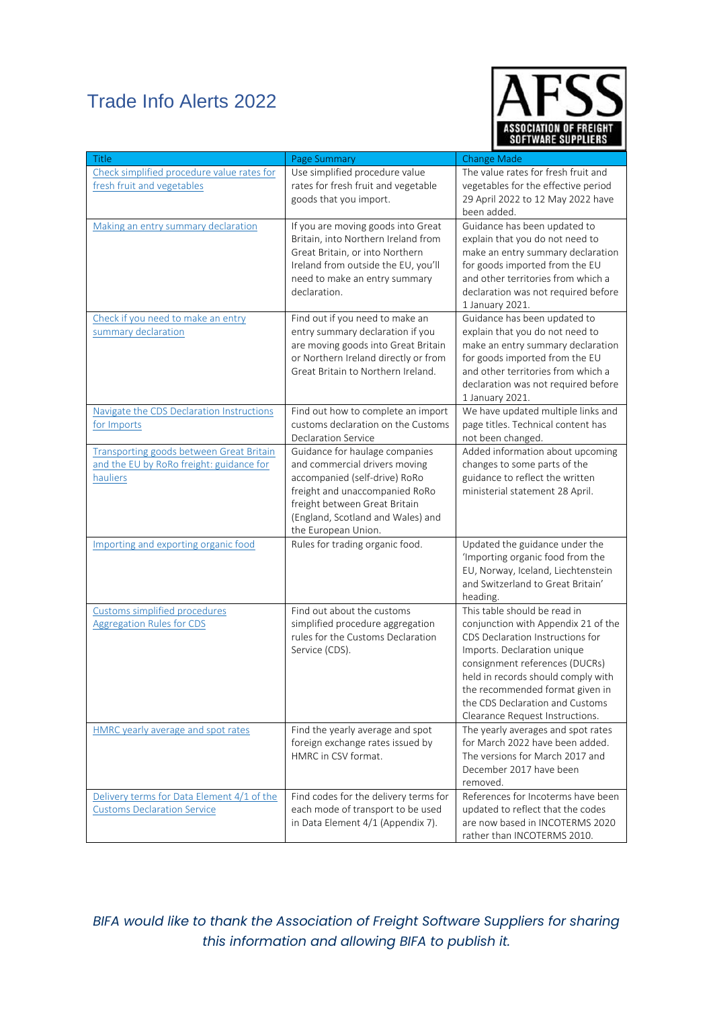

| <b>Title</b>                                                                                            | Page Summary                                                                                                                                                                                                                    | <b>Change Made</b>                                                                                                                                                                                                                                                                                                      |
|---------------------------------------------------------------------------------------------------------|---------------------------------------------------------------------------------------------------------------------------------------------------------------------------------------------------------------------------------|-------------------------------------------------------------------------------------------------------------------------------------------------------------------------------------------------------------------------------------------------------------------------------------------------------------------------|
| Check simplified procedure value rates for<br>fresh fruit and vegetables                                | Use simplified procedure value<br>rates for fresh fruit and vegetable<br>goods that you import.                                                                                                                                 | The value rates for fresh fruit and<br>vegetables for the effective period<br>29 April 2022 to 12 May 2022 have<br>been added.                                                                                                                                                                                          |
| Making an entry summary declaration                                                                     | If you are moving goods into Great<br>Britain, into Northern Ireland from<br>Great Britain, or into Northern<br>Ireland from outside the EU, you'll<br>need to make an entry summary<br>declaration.                            | Guidance has been updated to<br>explain that you do not need to<br>make an entry summary declaration<br>for goods imported from the EU<br>and other territories from which a<br>declaration was not required before<br>1 January 2021.                                                                                  |
| Check if you need to make an entry<br>summary declaration                                               | Find out if you need to make an<br>entry summary declaration if you<br>are moving goods into Great Britain<br>or Northern Ireland directly or from<br>Great Britain to Northern Ireland.                                        | Guidance has been updated to<br>explain that you do not need to<br>make an entry summary declaration<br>for goods imported from the EU<br>and other territories from which a<br>declaration was not required before<br>1 January 2021.                                                                                  |
| Navigate the CDS Declaration Instructions<br>for Imports                                                | Find out how to complete an import<br>customs declaration on the Customs<br>Declaration Service                                                                                                                                 | We have updated multiple links and<br>page titles. Technical content has<br>not been changed.                                                                                                                                                                                                                           |
| <b>Transporting goods between Great Britain</b><br>and the EU by RoRo freight: guidance for<br>hauliers | Guidance for haulage companies<br>and commercial drivers moving<br>accompanied (self-drive) RoRo<br>freight and unaccompanied RoRo<br>freight between Great Britain<br>(England, Scotland and Wales) and<br>the European Union. | Added information about upcoming<br>changes to some parts of the<br>guidance to reflect the written<br>ministerial statement 28 April.                                                                                                                                                                                  |
| Importing and exporting organic food                                                                    | Rules for trading organic food.                                                                                                                                                                                                 | Updated the guidance under the<br>'Importing organic food from the<br>EU, Norway, Iceland, Liechtenstein<br>and Switzerland to Great Britain'<br>heading.                                                                                                                                                               |
| Customs simplified procedures<br><b>Aggregation Rules for CDS</b>                                       | Find out about the customs<br>simplified procedure aggregation<br>rules for the Customs Declaration<br>Service (CDS).                                                                                                           | This table should be read in<br>conjunction with Appendix 21 of the<br>CDS Declaration Instructions for<br>Imports. Declaration unique<br>consignment references (DUCRs)<br>held in records should comply with<br>the recommended format given in<br>the CDS Declaration and Customs<br>Clearance Request Instructions. |
| <b>HMRC</b> yearly average and spot rates                                                               | Find the yearly average and spot<br>foreign exchange rates issued by<br>HMRC in CSV format.                                                                                                                                     | The yearly averages and spot rates<br>for March 2022 have been added.<br>The versions for March 2017 and<br>December 2017 have been<br>removed.                                                                                                                                                                         |
| Delivery terms for Data Element 4/1 of the<br><b>Customs Declaration Service</b>                        | Find codes for the delivery terms for<br>each mode of transport to be used<br>in Data Element 4/1 (Appendix 7).                                                                                                                 | References for Incoterms have been<br>updated to reflect that the codes<br>are now based in INCOTERMS 2020<br>rather than INCOTERMS 2010.                                                                                                                                                                               |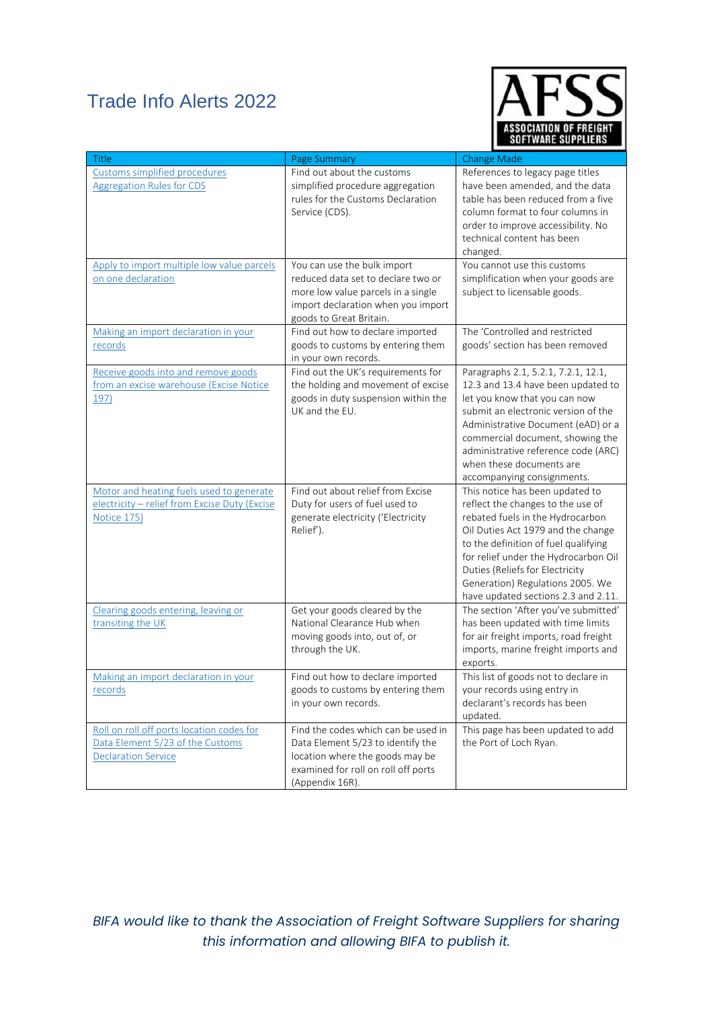

| <b>Title</b>                                                                                                    | Page Summary                                                                                                                                                             | <b>Change Made</b>                                                                                                                                                                                                                                                                                                                           |
|-----------------------------------------------------------------------------------------------------------------|--------------------------------------------------------------------------------------------------------------------------------------------------------------------------|----------------------------------------------------------------------------------------------------------------------------------------------------------------------------------------------------------------------------------------------------------------------------------------------------------------------------------------------|
| Customs simplified procedures<br><b>Aggregation Rules for CDS</b>                                               | Find out about the customs<br>simplified procedure aggregation<br>rules for the Customs Declaration<br>Service (CDS).                                                    | References to legacy page titles<br>have been amended, and the data<br>table has been reduced from a five<br>column format to four columns in<br>order to improve accessibility. No<br>technical content has been<br>changed.                                                                                                                |
| Apply to import multiple low value parcels<br>on one declaration                                                | You can use the bulk import<br>reduced data set to declare two or<br>more low value parcels in a single<br>import declaration when you import<br>goods to Great Britain. | You cannot use this customs<br>simplification when your goods are<br>subject to licensable goods.                                                                                                                                                                                                                                            |
| Making an import declaration in your<br>records                                                                 | Find out how to declare imported<br>goods to customs by entering them<br>in your own records.                                                                            | The 'Controlled and restricted<br>goods' section has been removed                                                                                                                                                                                                                                                                            |
| Receive goods into and remove goods<br>from an excise warehouse (Excise Notice<br>197)                          | Find out the UK's requirements for<br>the holding and movement of excise<br>goods in duty suspension within the<br>UK and the EU.                                        | Paragraphs 2.1, 5.2.1, 7.2.1, 12.1,<br>12.3 and 13.4 have been updated to<br>let you know that you can now<br>submit an electronic version of the<br>Administrative Document (eAD) or a<br>commercial document, showing the<br>administrative reference code (ARC)<br>when these documents are<br>accompanying consignments.                 |
| Motor and heating fuels used to generate<br>electricity - relief from Excise Duty (Excise<br><b>Notice 175)</b> | Find out about relief from Excise<br>Duty for users of fuel used to<br>generate electricity ('Electricity<br>Relief').                                                   | This notice has been updated to<br>reflect the changes to the use of<br>rebated fuels in the Hydrocarbon<br>Oil Duties Act 1979 and the change<br>to the definition of fuel qualifying<br>for relief under the Hydrocarbon Oil<br>Duties (Reliefs for Electricity<br>Generation) Regulations 2005. We<br>have updated sections 2.3 and 2.11. |
| Clearing goods entering, leaving or<br>transiting the UK                                                        | Get your goods cleared by the<br>National Clearance Hub when<br>moving goods into, out of, or<br>through the UK.                                                         | The section 'After you've submitted'<br>has been updated with time limits<br>for air freight imports, road freight<br>imports, marine freight imports and<br>exports.                                                                                                                                                                        |
| Making an import declaration in your<br>records                                                                 | Find out how to declare imported<br>goods to customs by entering them<br>in your own records.                                                                            | This list of goods not to declare in<br>your records using entry in<br>declarant's records has been<br>updated.                                                                                                                                                                                                                              |
| Roll on roll off ports location codes for<br>Data Element 5/23 of the Customs<br><b>Declaration Service</b>     | Find the codes which can be used in<br>Data Element 5/23 to identify the<br>location where the goods may be<br>examined for roll on roll off ports<br>(Appendix 16R).    | This page has been updated to add<br>the Port of Loch Ryan.                                                                                                                                                                                                                                                                                  |